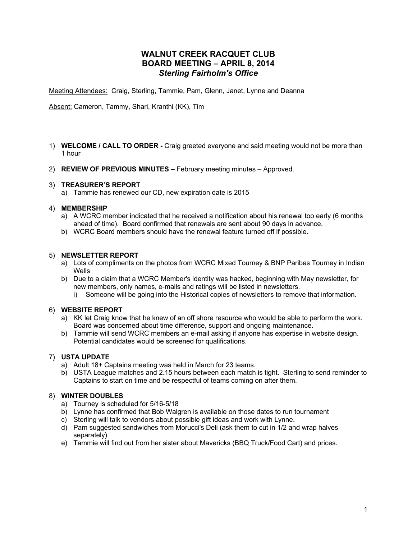# **WALNUT CREEK RACQUET CLUB BOARD MEETING – APRIL 8, 2014** *Sterling Fairholm's Office*

Meeting Attendees: Craig, Sterling, Tammie, Pam, Glenn, Janet, Lynne and Deanna

Absent: Cameron, Tammy, Shari, Kranthi (KK), Tim

- 1) **WELCOME / CALL TO ORDER -** Craig greeted everyone and said meeting would not be more than 1 hour
- 2) **REVIEW OF PREVIOUS MINUTES –** February meeting minutes Approved.

## 3) **TREASURER'S REPORT**

a) Tammie has renewed our CD, new expiration date is 2015

## 4) **MEMBERSHIP**

- a) A WCRC member indicated that he received a notification about his renewal too early (6 months ahead of time). Board confirmed that renewals are sent about 90 days in advance.
- b) WCRC Board members should have the renewal feature turned off if possible.

#### 5) **NEWSLETTER REPORT**

- a) Lots of compliments on the photos from WCRC Mixed Tourney & BNP Paribas Tourney in Indian Wells
- b) Due to a claim that a WCRC Member's identity was hacked, beginning with May newsletter, for new members, only names, e-mails and ratings will be listed in newsletters.
	- i) Someone will be going into the Historical copies of newsletters to remove that information.

#### 6) **WEBSITE REPORT**

- a) KK let Craig know that he knew of an off shore resource who would be able to perform the work. Board was concerned about time difference, support and ongoing maintenance.
- b) Tammie will send WCRC members an e-mail asking if anyone has expertise in website design. Potential candidates would be screened for qualifications.

## 7) **USTA UPDATE**

- a) Adult 18+ Captains meeting was held in March for 23 teams.
- b) USTA League matches and 2.15 hours between each match is tight. Sterling to send reminder to Captains to start on time and be respectful of teams coming on after them.

#### 8) **WINTER DOUBLES**

- a) Tourney is scheduled for 5/16-5/18
- b) Lynne has confirmed that Bob Walgren is available on those dates to run tournament
- c) Sterling will talk to vendors about possible gift ideas and work with Lynne.
- d) Pam suggested sandwiches from Morucci's Deli (ask them to cut in 1/2 and wrap halves separately)
- e) Tammie will find out from her sister about Mavericks (BBQ Truck/Food Cart) and prices.